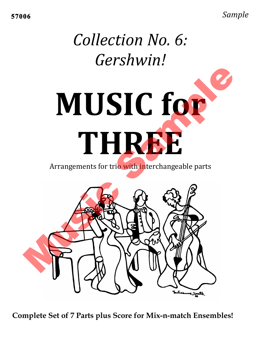*Sample*

# *Collection'No.'6:' Gershwin!*



Arrangements for trio with interchangeable parts



**Complete Set of 7 Parts plus Score for Mix-n-match Ensembles!**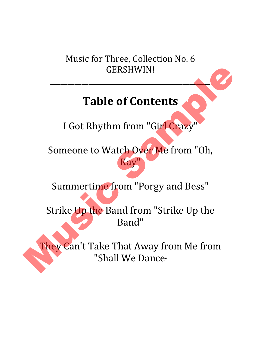Music for Three, Collection No. 6 GERSHWIN!

 $\overline{\phantom{a}}$ 

### **Table of Contents**

I Got Rhythm from "Girl Crazy"

Someone to Watch Over Me from "Oh, Kay ERSHWIN!<br>
of Contents<br>
m from "Girl Crazy"<br>
atch Over Me from "Oh,<br>
Kay"

Summertime from "Porgy and Bess"

Strike Up the Band from "Strike Up the Band"

They Can't Take That Away from Me from Summertime from<br>Strike Up the Band fi<br>Band<br>They Can't Take That<br>"Shall We "Shall We Dance<sub>"</sub>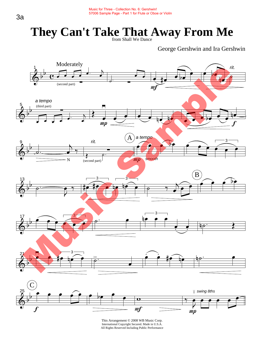George Gershwin and Ira Gershwin

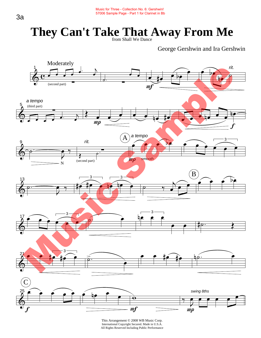George Gershwin and Ira Gershwin



International Copyright Secured. Made in U.S.A. All Rights Reserved Including Public Performance This Arrangement © 2008 WB Music Corp.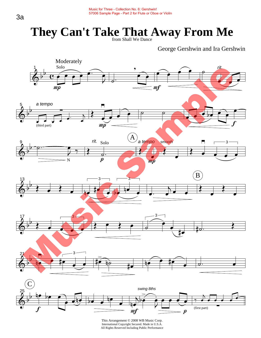George Gershwin and Ira Gershwin

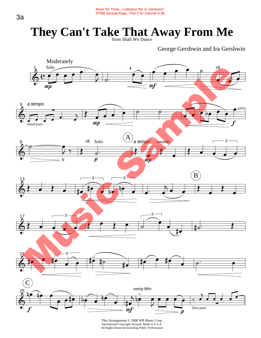George Gershwin and Ira Gershwin

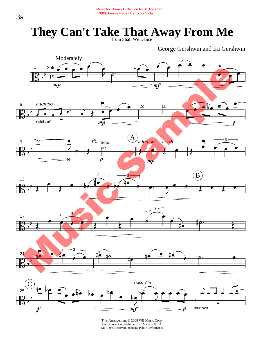George Gershwin and Ira Gershwin

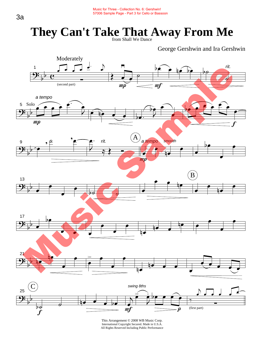George Gershwin and Ira Gershwin

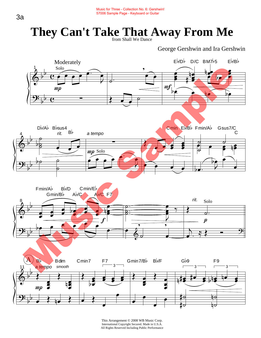George Gershwin and Ira Gershwin

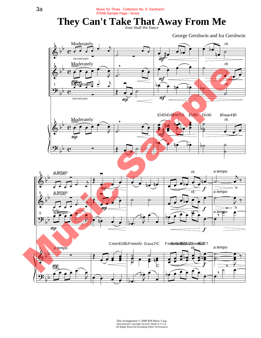George Gershwin and Ira Gershwin